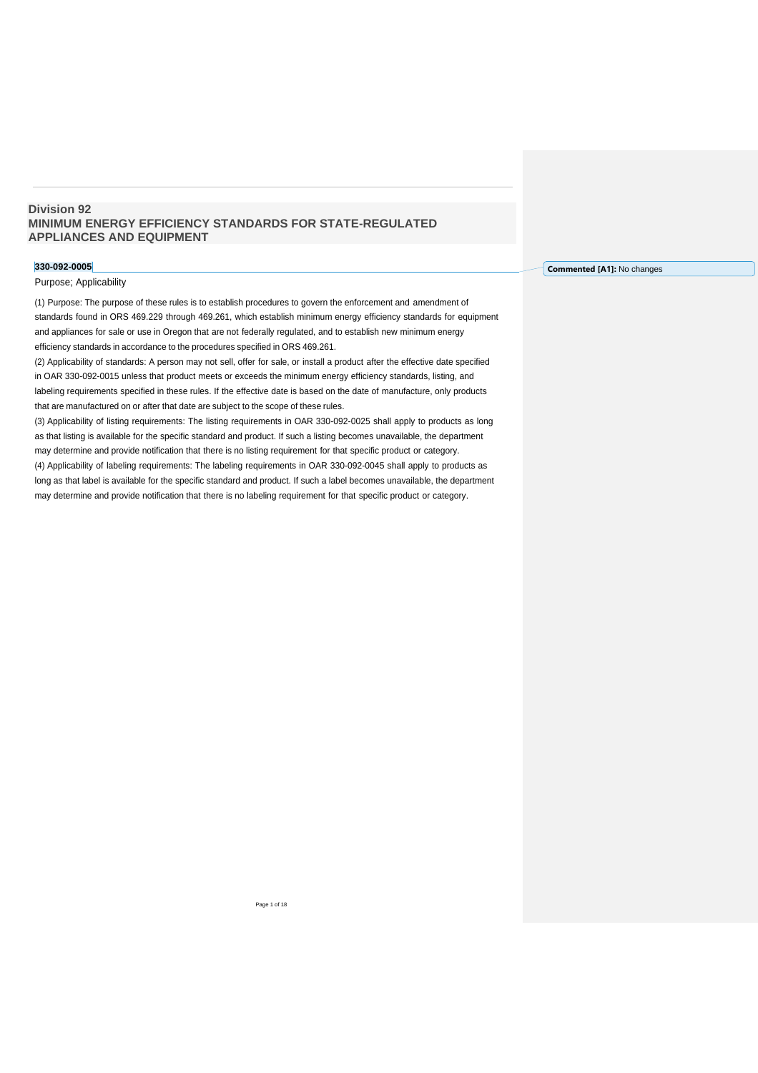# **Division 92 MINIMUM ENERGY EFFICIENCY STANDARDS FOR STATE-REGULATED APPLIANCES AND EQUIPMENT**

## **330-092-0005**

## Purpose; Applicability

(1) Purpose: The purpose of these rules is to establish procedures to govern the enforcement and amendment of standards found in ORS 469.229 through 469.261, which establish minimum energy efficiency standards for equipment and appliances for sale or use in Oregon that are not federally regulated, and to establish new minimum energy efficiency standards in accordance to the procedures specified in ORS 469.261.

(2) Applicability of standards: A person may not sell, offer for sale, or install a product after the effective date specified in OAR 330-092-0015 unless that product meets or exceeds the minimum energy efficiency standards, listing, and labeling requirements specified in these rules. If the effective date is based on the date of manufacture, only products that are manufactured on or after that date are subject to the scope of these rules.

(3) Applicability of listing requirements: The listing requirements in OAR 330-092-0025 shall apply to products as long as that listing is available for the specific standard and product. If such a listing becomes unavailable, the department may determine and provide notification that there is no listing requirement for that specific product or category. (4) Applicability of labeling requirements: The labeling requirements in OAR 330-092-0045 shall apply to products as long as that label is available for the specific standard and product. If such a label becomes unavailable, the department

may determine and provide notification that there is no labeling requirement for that specific product or category.

**Commented [A1]:** No changes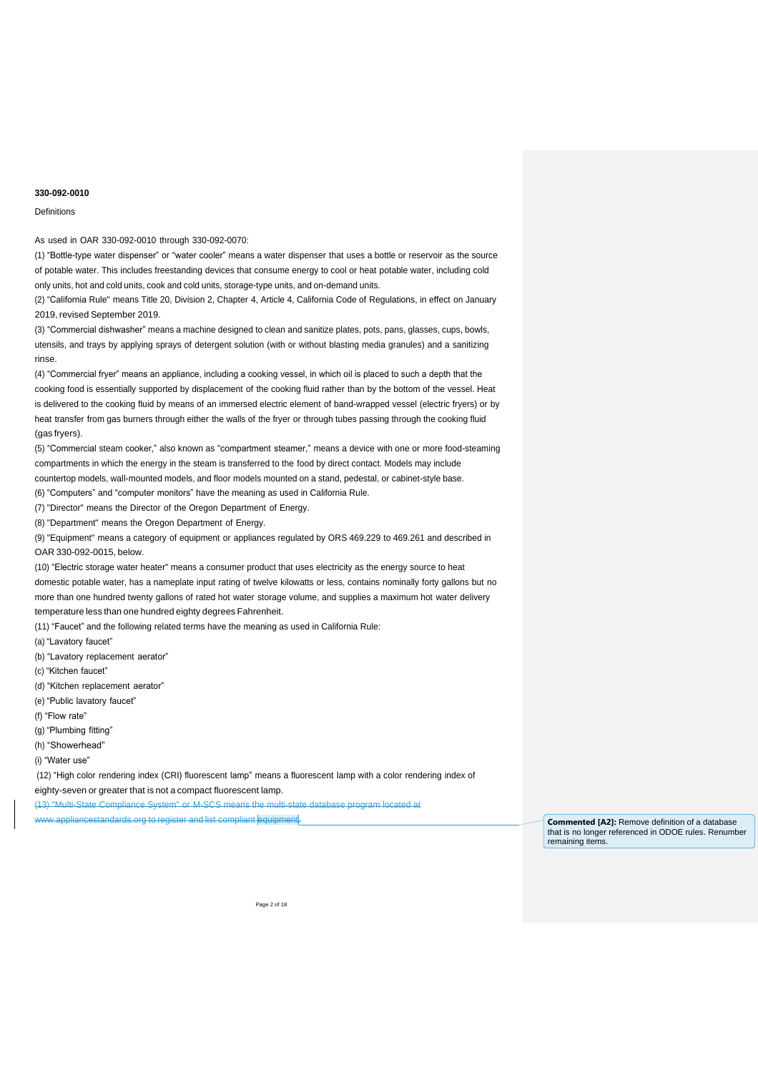## Definitions

As used in OAR 330-092-0010 through 330-092-0070:

(1) "Bottle-type water dispenser" or "water cooler" means a water dispenser that uses a bottle or reservoir as the source of potable water. This includes freestanding devices that consume energy to cool or heat potable water, including cold only units, hot and cold units, cook and cold units, storage-type units, and on-demand units.

(2) "California Rule" means Title 20, Division 2, Chapter 4, Article 4, California Code of Regulations, in effect on January 2019, revised September 2019.

(3) "Commercial dishwasher" means a machine designed to clean and sanitize plates, pots, pans, glasses, cups, bowls, utensils, and trays by applying sprays of detergent solution (with or without blasting media granules) and a sanitizing rinse.

(4) "Commercial fryer" means an appliance, including a cooking vessel, in which oil is placed to such a depth that the cooking food is essentially supported by displacement of the cooking fluid rather than by the bottom of the vessel. Heat is delivered to the cooking fluid by means of an immersed electric element of band-wrapped vessel (electric fryers) or by heat transfer from gas burners through either the walls of the fryer or through tubes passing through the cooking fluid (gas fryers).

(5) "Commercial steam cooker," also known as "compartment steamer," means a device with one or more food-steaming compartments in which the energy in the steam is transferred to the food by direct contact. Models may include countertop models, wall-mounted models, and floor models mounted on a stand, pedestal, or cabinet-style base.

(6) "Computers" and "computer monitors" have the meaning as used in California Rule.

(7) "Director" means the Director of the Oregon Department of Energy.

(8) "Department" means the Oregon Department of Energy.

(9) "Equipment" means a category of equipment or appliances regulated by ORS 469.229 to 469.261 and described in OAR 330-092-0015, below.

(10) "Electric storage water heater" means a consumer product that uses electricity as the energy source to heat domestic potable water, has a nameplate input rating of twelve kilowatts or less, contains nominally forty gallons but no more than one hundred twenty gallons of rated hot water storage volume, and supplies a maximum hot water delivery temperature less than one hundred eighty degrees Fahrenheit.

(11) "Faucet" and the following related terms have the meaning as used in California Rule:

(a) "Lavatory faucet"

(b) "Lavatory replacement aerator"

(c) "Kitchen faucet"

(d) "Kitchen replacement aerator"

(e) "Public lavatory faucet"

(f) "Flow rate"

(g) "Plumbing fitting"

(h) "Showerhead"

(i) "Water use"

(12) "High color rendering index (CRI) fluorescent lamp" means a fluorescent lamp with a color rendering index of eighty-seven or greater that is not a compact fluorescent lamp.

(13) "Multi-State Compliance System" or M-SCS means the multi-state database program located at www.appliancestandards.org to register and list compliant equipment. **Commented [A2]:** Remove definition of a database

that is no longer referenced in ODOE rules. Renumber remaining items.

Page 2 of 18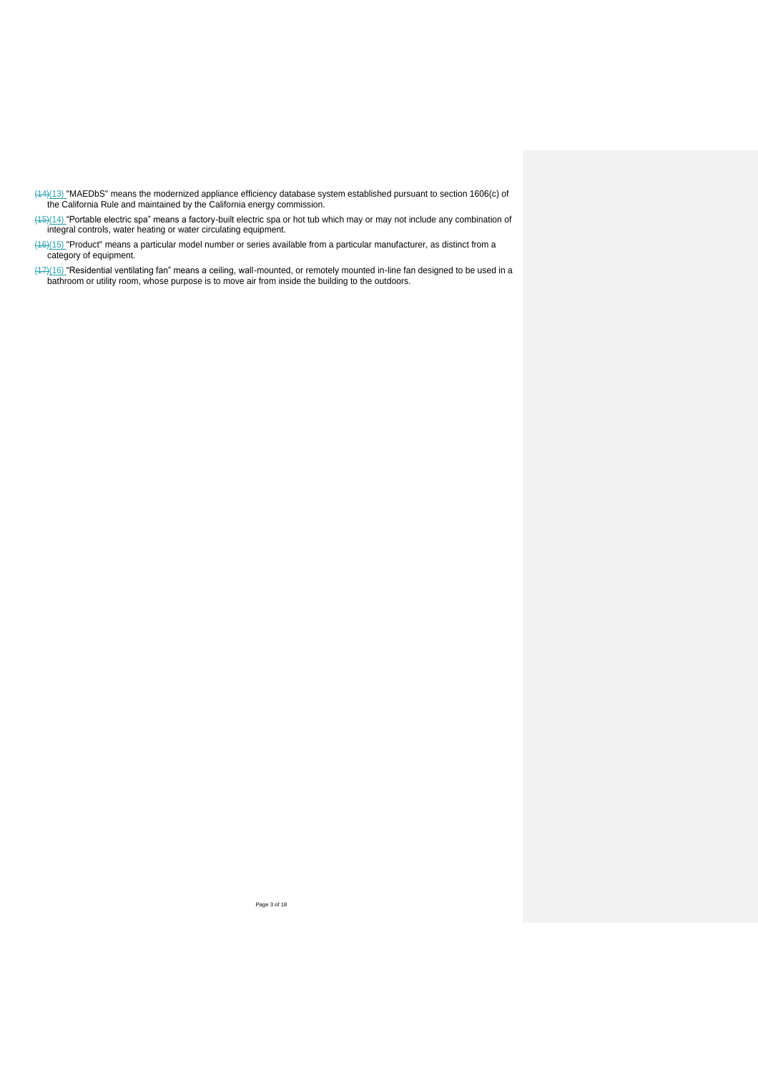- $(14)(13)$  "MAEDbS" means the modernized appliance efficiency database system established pursuant to section 1606(c) of the California Rule and maintained by the California energy commission.
- (15)(14) "Portable electric spa" means a factory-built electric spa or hot tub which may or may not include any combination of integral controls, water heating or water circulating equipment.
- $(16)(15)$  "Product" means a particular model number or series available from a particular manufacturer, as distinct from a category of equipment.
- (17)(16) "Residential ventilating fan" means a ceiling, wall-mounted, or remotely mounted in-line fan designed to be used in a bathroom or utility room, whose purpose is to move air from inside the building to the outdoors.

Page 3 of 18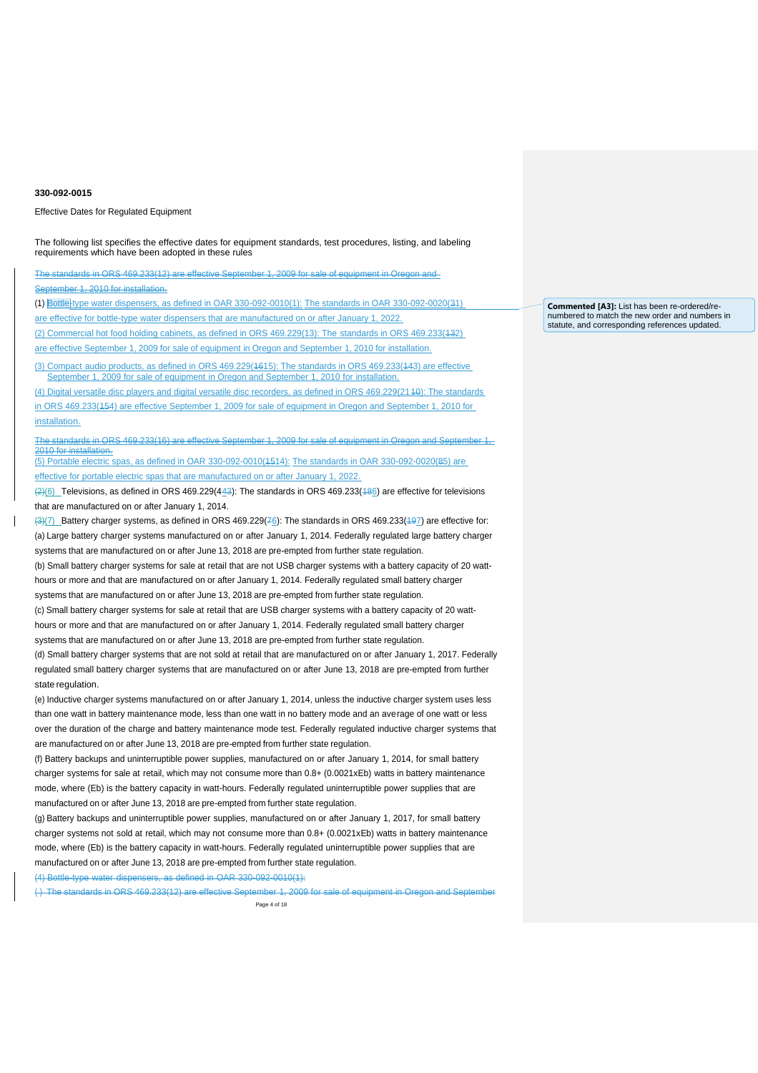Effective Dates for Regulated Equipment

The following list specifies the effective dates for equipment standards, test procedures, listing, and labeling requirements which have been adopted in these rules

The standards in ORS 469.233(12) are effective September 1, 2009 for sale of equipment in Oregon and

September 1, 2010 for installation.

(1) Bottle-type water dispensers, as defined in OAR 330-092-0010(1): The standards in OAR 330-092-0020(31) are effective for bottle-type water dispensers that are manufactured on or after January 1, 2022. (2) Commercial hot food holding cabinets, as defined in ORS 469.229(13): The standards in ORS 469.233(132)

are effective September 1, 2009 for sale of equipment in Oregon and September 1, 2010 for installation. (3) Compact audio products, as defined in ORS 469.229(1615): The standards in ORS 469.233(143) are effective

September 1, 2009 for sale of equipment in Oregon and September 1, 2010 for installation. (4) Digital versatile disc players and digital versatile disc recorders, as defined in ORS 469.229(2140): The standards

in ORS 469.233(154) are effective September 1, 2009 for sale of equipment in Oregon and September 1, 2010 for installation.

The standards in ORS 469.233(16) are effective September 1, 2009 for sale of equipment in Oregon and September 1, 2010 for installation.

(5) Portable electric spas, as defined in OAR 330-092-0010(1514): The standards in OAR 330-092-0020(85) are effective for portable electric spas that are manufactured on or after January 1, 2022.

 $(2)(6)$  Televisions, as defined in ORS 469.229(443): The standards in ORS 469.233(486) are effective for televisions that are manufactured on or after January 1, 2014.

 $(3)(7)$  Battery charger systems, as defined in ORS 469.229( $76$ ): The standards in ORS 469.233( $497$ ) are effective for: (a) Large battery charger systems manufactured on or after January 1, 2014. Federally regulated large battery charger systems that are manufactured on or after June 13, 2018 are pre-empted from further state regulation.

(b) Small battery charger systems for sale at retail that are not USB charger systems with a battery capacity of 20 watthours or more and that are manufactured on or after January 1, 2014. Federally regulated small battery charger systems that are manufactured on or after June 13, 2018 are pre-empted from further state regulation.

(c) Small battery charger systems for sale at retail that are USB charger systems with a battery capacity of 20 watthours or more and that are manufactured on or after January 1, 2014. Federally regulated small battery charger systems that are manufactured on or after June 13, 2018 are pre-empted from further state regulation.

(d) Small battery charger systems that are not sold at retail that are manufactured on or after January 1, 2017. Federally regulated small battery charger systems that are manufactured on or after June 13, 2018 are pre-empted from further state regulation.

(e) Inductive charger systems manufactured on or after January 1, 2014, unless the inductive charger system uses less than one watt in battery maintenance mode, less than one watt in no battery mode and an average of one watt or less over the duration of the charge and battery maintenance mode test. Federally regulated inductive charger systems that are manufactured on or after June 13, 2018 are pre-empted from further state regulation.

(f) Battery backups and uninterruptible power supplies, manufactured on or after January 1, 2014, for small battery charger systems for sale at retail, which may not consume more than 0.8+ (0.0021xEb) watts in battery maintenance mode, where (Eb) is the battery capacity in watt-hours. Federally regulated uninterruptible power supplies that are manufactured on or after June 13, 2018 are pre-empted from further state regulation.

(g) Battery backups and uninterruptible power supplies, manufactured on or after January 1, 2017, for small battery charger systems not sold at retail, which may not consume more than 0.8+ (0.0021xEb) watts in battery maintenance mode, where (Eb) is the battery capacity in watt-hours. Federally regulated uninterruptible power supplies that are manufactured on or after June 13, 2018 are pre-empted from further state regulation.

(4) Bottle-type water dispensers, as defined in OAR 330-092-0010(1):

Page 4 of 18 ( ) The standards in ORS 469.233(12) are effective September 1, 2009 for sale of equipment in Oregon and September **Commented [A3]:** List has been re-ordered/renumbered to match the new order and numbers in statute, and corresponding references updated.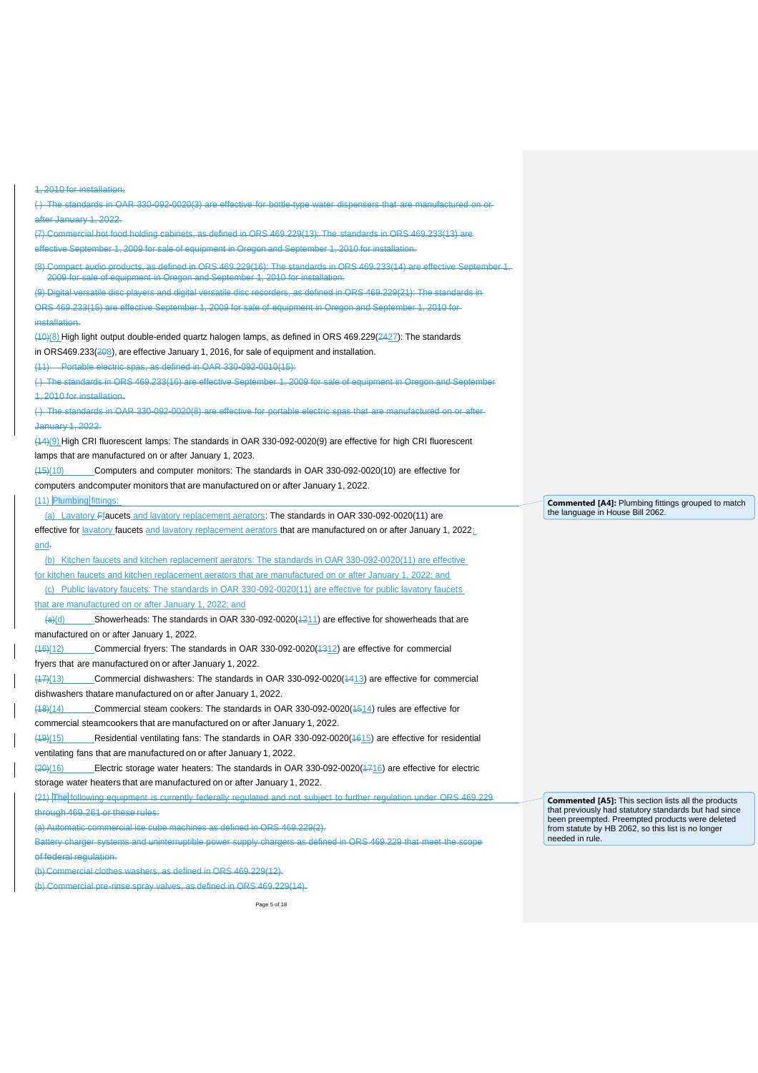1, 2010 for installation. ( ) The standards in OAR 330-092-0020(3) are effective for bottle-type water dispensers that are manufactured on or after January 1, 2022. (7) Commercial hot food holding cabinets, as defined in ORS 469.229(13): The standards in ORS 469.233(13) are effective September 1, 2009 for sale of equipment in Oregon and September 1, 2010 for installation. (8) Compact audio products, as defined in ORS 469.229(16): The standards in ORS 469.233(14) are effective September 1, 2009 for sale of equipment in Oregon and September 1, 2010 for installatio (9) Digital versatile disc players and digital versatile disc recorders, as defined in ORS 469.229(21): The standards in ORS 469.233(15) are effective September 1, 2009 for sale of equipment in Oregon and September 1, 2010 for installation. (10)(8) High light output double-ended quartz halogen lamps, as defined in ORS 469.229(2427): The standards in ORS469.233(208), are effective January 1, 2016, for sale of equipment and installation. (11) Portable electric spas, as defined in OAR 330-092-0010(15): ( ) The standards in ORS 469.233(16) are effective September 1, 2009 for sale of equipment in Oregon and September 1, 2010 for installation. ( ) The standards in OAR 330-092-0020(8) are effective for portable electric spas that are manufactured on or after January 1, 2022. (14)(9) High CRI fluorescent lamps: The standards in OAR 330-092-0020(9) are effective for high CRI fluorescent lamps that are manufactured on or after January 1, 2023. (15)(10) Computers and computer monitors: The standards in OAR 330-092-0020(10) are effective for computers andcomputer monitors that are manufactured on or after January 1, 2022. (11) Plumbing fittings: (a) Lavatory Ffaucets and lavatory replacement aerators: The standards in OAR 330-092-0020(11) are effective for lavatory faucets and lavatory replacement aerators that are manufactured on or after January 1, 2022; and. (b) Kitchen faucets and kitchen replacement aerators: The standards in OAR 330-092-0020(11) are effective for kitchen faucets and kitchen replacement aerators that are manufactured on or after January 1, 2022; and (c) Public lavatory faucets: The standards in OAR 330-092-0020(11) are effective for public lavatory faucets that are manufactured on or after January 1, 2022; and  $\frac{(\text{a})(\text{d})}{(\text{a})(\text{d})}$  Showerheads: The standards in OAR 330-092-0020(1211) are effective for showerheads that are manufactured on or after January 1, 2022. (16)(12) Commercial fryers: The standards in OAR 330-092-0020(1312) are effective for commercial fryers that are manufactured on or after January 1, 2022. (17)(13) Commercial dishwashers: The standards in OAR 330-092-0020(1413) are effective for commercial dishwashers thatare manufactured on or after January 1, 2022. (18)(14) Commercial steam cookers: The standards in OAR 330-092-0020(1514) rules are effective for commercial steamcookers that are manufactured on or after January 1, 2022. (19)(15) Residential ventilating fans: The standards in OAR 330-092-0020(1615) are effective for residential ventilating fans that are manufactured on or after January 1, 2022. (20)(16) Electric storage water heaters: The standards in OAR 330-092-0020(1716) are effective for electric storage water heaters that are manufactured on or after January 1, 2022. (21) The following equipment is currently federally regulated and not subject to further regulation under ORS 469.229 through 469.261 or these rules: (a) Automatic commercial ice cube machines as defined in ORS 469.229(2). Battery charger systems and uninterruptible power supply chargers as defined in ORS 469.229 that meet the scope of federal regulation. (b) Commercial clothes washers, as defined in ORS 469.229(12). (b) Commercial pre-rinse spray valves, as defined in ORS 469.229(14).

**Commented [A5]:** This section lists all the products that previously had statutory standards but had since been preempted. Preempted products were deleted from statute by HB 2062, so this list is no longer needed in rule.

**Commented [A4]:** Plumbing fittings grouped to match

the language in House Bill 2062.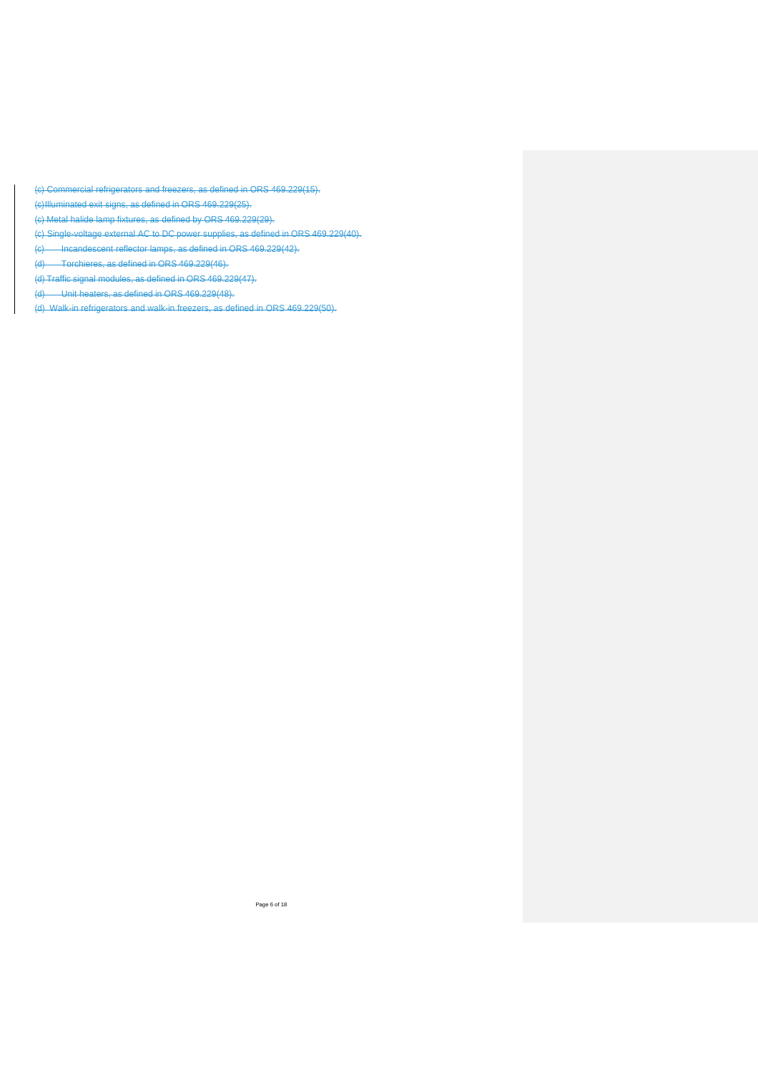(c) Commercial refrigerators and freezers, as defined in ORS 469.229(15).

(c)Illuminated exit signs, as defined in ORS 469.229(25).

(c) Metal halide lamp fixtures, as defined by ORS 469.229(29).

(c) Single-voltage external AC to DC power supplies, as defined in ORS 469.229(40).

(c) Incandescent reflector lamps, as defined in ORS 469.229(42).

(d) Torchieres, as defined in ORS 469.229(46).

(d) Traffic signal modules, as defined in ORS 469.229(47).

(d) Unit heaters, as defined in ORS 469.229(48).

(d) Walk-in refrigerators and walk-in freezers, as defined in ORS 469.229(50).

Page 6 of 18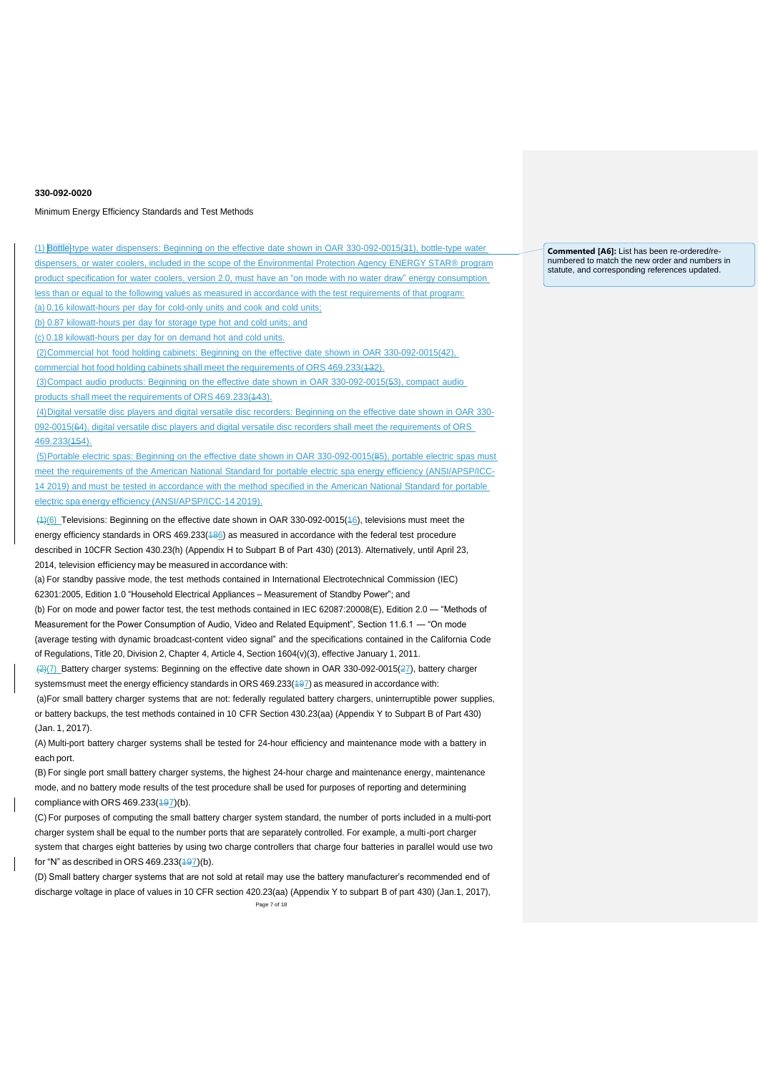## Minimum Energy Efficiency Standards and Test Methods

(1) Bottle-type water dispensers: Beginning on the effective date shown in OAR 330-092-0015(31), bottle-type water dispensers, or water coolers, included in the scope of the Environmental Protection Agency ENERGY STAR® program product specification for water coolers, version 2.0, must have an "on mode with no water draw" energy consumption less than or equal to the following values as measured in accordance with the test requirements of that program: (a) 0.16 kilowatt-hours per day for cold-only units and cook and cold units;

(b) 0.87 kilowatt-hours per day for storage type hot and cold units; and

(c) 0.18 kilowatt-hours per day for on demand hot and cold units.

(2)Commercial hot food holding cabinets: Beginning on the effective date shown in OAR 330-092-0015(42),

commercial hot food holding cabinets shall meet the requirements of ORS 469.233(132).

(3)Compact audio products: Beginning on the effective date shown in OAR 330-092-0015(53), compact audio products shall meet the requirements of ORS 469.233(443).

(4)Digital versatile disc players and digital versatile disc recorders: Beginning on the effective date shown in OAR 330- 092-0015(64), digital versatile disc players and digital versatile disc recorders shall meet the requirements of ORS 469.233(154).

(5)Portable electric spas: Beginning on the effective date shown in OAR 330-092-0015(85), portable electric spas must meet the requirements of the American National Standard for portable electric spa energy efficiency (ANSI/APSP/ICC-14 2019) and must be tested in accordance with the method specified in the American National Standard for portable electric spa energy efficiency (ANSI/APSP/ICC-14 2019).

(1)(6) Televisions: Beginning on the effective date shown in OAR 330-092-0015(16), televisions must meet the energy efficiency standards in ORS 469.233(486) as measured in accordance with the federal test procedure described in 10CFR Section 430.23(h) (Appendix H to Subpart B of Part 430) (2013). Alternatively, until April 23, 2014, television efficiency may be measured in accordance with:

(a) For standby passive mode, the test methods contained in International Electrotechnical Commission (IEC) 62301:2005, Edition 1.0 "Household Electrical Appliances – Measurement of Standby Power"; and

(b) For on mode and power factor test, the test methods contained in IEC 62087:20008(E), Edition 2.0 — "Methods of Measurement for the Power Consumption of Audio, Video and Related Equipment", Section 11.6.1 — "On mode (average testing with dynamic broadcast-content video signal" and the specifications contained in the California Code of Regulations, Title 20, Division 2, Chapter 4, Article 4, Section 1604(v)(3), effective January 1, 2011.

(2)(7) Battery charger systems: Beginning on the effective date shown in OAR 330-092-0015(27), battery charger systemsmust meet the energy efficiency standards in ORS 469.233(497) as measured in accordance with:

(a)For small battery charger systems that are not: federally regulated battery chargers, uninterruptible power supplies, or battery backups, the test methods contained in 10 CFR Section 430.23(aa) (Appendix Y to Subpart B of Part 430) (Jan. 1, 2017).

(A) Multi-port battery charger systems shall be tested for 24-hour efficiency and maintenance mode with a battery in each port.

(B) For single port small battery charger systems, the highest 24-hour charge and maintenance energy, maintenance mode, and no battery mode results of the test procedure shall be used for purposes of reporting and determining compliance with ORS  $469.233(497)(b)$ .

(C) For purposes of computing the small battery charger system standard, the number of ports included in a multi-port charger system shall be equal to the number ports that are separately controlled. For example, a multi-port charger system that charges eight batteries by using two charge controllers that charge four batteries in parallel would use two for "N" as described in ORS  $469.233(497)(b)$ .

Page 7 of 18 (D) Small battery charger systems that are not sold at retail may use the battery manufacturer's recommended end of discharge voltage in place of values in 10 CFR section 420.23(aa) (Appendix Y to subpart B of part 430) (Jan.1, 2017), **Commented [A6]:** List has been re-ordered/renumbered to match the new order and numbers in statute, and corresponding references updated.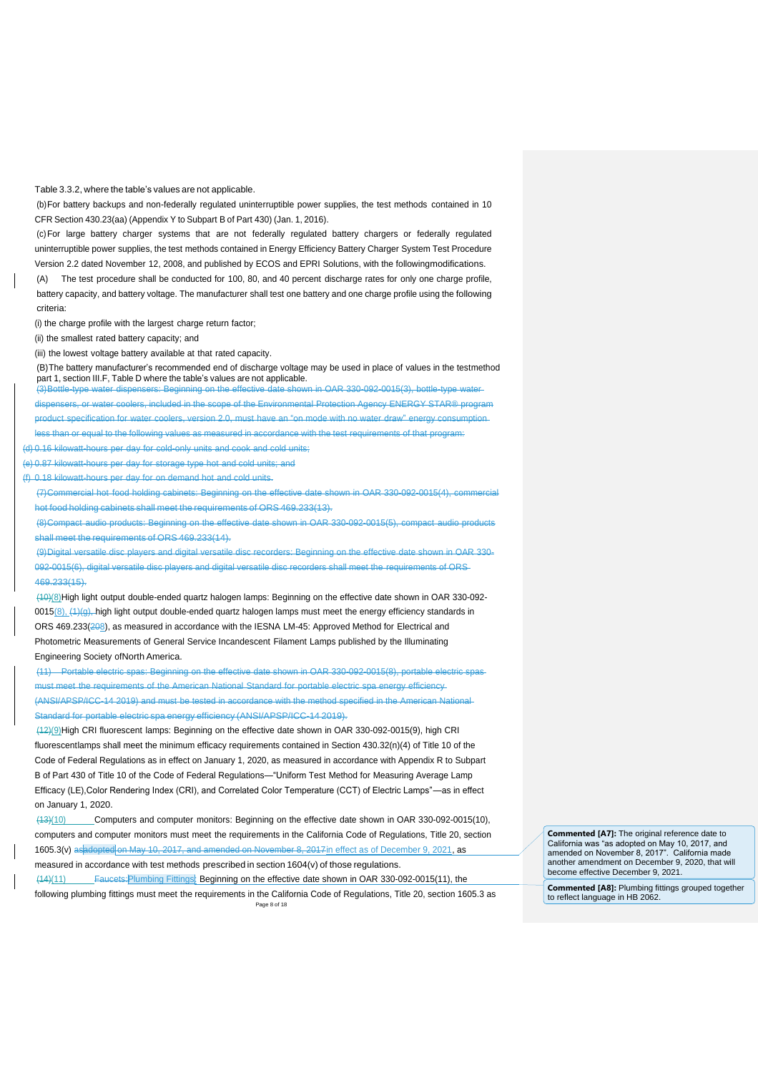Table 3.3.2, where the table's values are not applicable.

(b)For battery backups and non-federally regulated uninterruptible power supplies, the test methods contained in 10 CFR Section 430.23(aa) (Appendix Y to Subpart B of Part 430) (Jan. 1, 2016).

(c)For large battery charger systems that are not federally regulated battery chargers or federally regulated uninterruptible power supplies, the test methods contained in Energy Efficiency Battery Charger System Test Procedure Version 2.2 dated November 12, 2008, and published by ECOS and EPRI Solutions, with the followingmodifications.

(A) The test procedure shall be conducted for 100, 80, and 40 percent discharge rates for only one charge profile, battery capacity, and battery voltage. The manufacturer shall test one battery and one charge profile using the following criteria:

(i) the charge profile with the largest charge return factor;

(ii) the smallest rated battery capacity; and

(iii) the lowest voltage battery available at that rated capacity.

(B)The battery manufacturer's recommended end of discharge voltage may be used in place of values in the testmethod part 1, section III.F, Table D where the table's values are not applicable.

(3)Bottle-type water dispensers: Beginning on the effective date shown in OAR 330-092-0015(3), bottle-type water asers, or water coolers, included in the scope of the Environmental Protection Agency ENERGY STAR® program product specification for water coolers, version 2.0, must have an "on mode with no water draw" energy less than or equal to the following values as measured in accordance with the test requirements of that program:

(d) 0.16 kilowatt-hours per day for cold-only units and cook and cold units;

(e) 0.87 kilowatt-hours per day for storage type hot and cold units; and

(f) 0.18 kilowatt-hours per day for on demand hot and cold units.

(7)Commercial hot food holding cabinets: Beginning on the effective date shown in OAR 330-092-0015(4), commercial hot food holding cabinets shall meet the requirements of ORS 469.233(13).

(8)Compact audio products: Beginning on the effective date shown in OAR 330-092-0015(5), compact audio products shall meet the requirements of ORS 469.233(14).

(9)Digital versatile disc players and digital versatile disc recorders: Beginning on the effective date shown in OAR 330- 092-0015(6), digital versatile disc players and digital versatile disc recorders shall meet the requirements of ORS 469.233(15).

(10)(8)High light output double-ended quartz halogen lamps: Beginning on the effective date shown in OAR 330-092- 0015(8), (4)(g), high light output double-ended quartz halogen lamps must meet the energy efficiency standards in ORS 469.233(208), as measured in accordance with the IESNA LM-45: Approved Method for Electrical and Photometric Measurements of General Service Incandescent Filament Lamps published by the Illuminating Engineering Society ofNorth America.

(11) Portable electric spas: Beginning on the effective date shown in OAR 330-092-0015(8), portable electric spas ist meet the requirements of the American National Standard for portable electric spa energy efficiency (ANSI/APSP/ICC-14 2019) and must be tested in accordance with the method specified in the American National

ard for portable electric spa energy efficiency (ANSI/APSP/ICC-14 2019).

(12)(9)High CRI fluorescent lamps: Beginning on the effective date shown in OAR 330-092-0015(9), high CRI fluorescentlamps shall meet the minimum efficacy requirements contained in Section 430.32(n)(4) of Title 10 of the Code of Federal Regulations as in effect on January 1, 2020, as measured in accordance with Appendix R to Subpart B of Part 430 of Title 10 of the Code of Federal Regulations—"Uniform Test Method for Measuring Average Lamp Efficacy (LE),Color Rendering Index (CRI), and Correlated Color Temperature (CCT) of Electric Lamps"—as in effect on January 1, 2020.

(13)(10) Computers and computer monitors: Beginning on the effective date shown in OAR 330-092-0015(10), computers and computer monitors must meet the requirements in the California Code of Regulations, Title 20, section 1605.3(v) as adopted on May 10, 2017, and amended on November 8, 2017in effect as of December 9, 2021, as measured in accordance with test methods prescribed in section 1604(v) of those regulations.

Page 8 of 18 (14)(11) Faucets:Plumbing Fittings: Beginning on the effective date shown in OAR 330-092-0015(11), the following plumbing fittings must meet the requirements in the California Code of Regulations, Title 20, section 1605.3 as **Commented [A7]:** The original reference date to California was "as adopted on May 10, 2017, and amended on November 8, 2017". California made another amendment on December 9, 2020, that will become effective December 9, 2021.

**Commented [A8]:** Plumbing fittings grouped together to reflect language in HB 2062.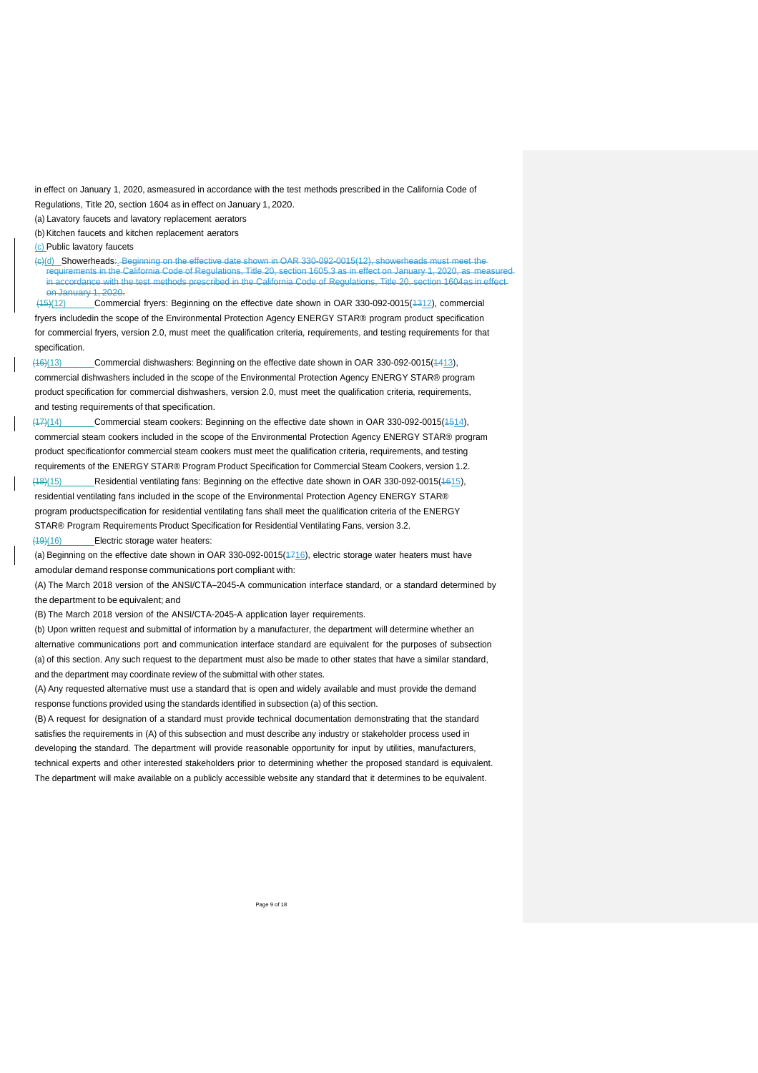in effect on January 1, 2020, asmeasured in accordance with the test methods prescribed in the California Code of Regulations, Title 20, section 1604 as in effect on January 1, 2020.

(a) Lavatory faucets and lavatory replacement aerators

(b) Kitchen faucets and kitchen replacement aerators

(c) Public lavatory faucets

(c)(d) Showerheads:. Beginning on the effective date shown in OAR 330-092-0015(12), showerheads m .<br>uirements in the California Code of Regulations, Title 20, section 1605.3 as in effect on January 1, 2020, as meas in accordance with the test methods prescribed in the California Code of Regulations, Title 20, section 1604as in effect on January 1, 2020<br>(15)(12) Comme

Commercial fryers: Beginning on the effective date shown in OAR 330-092-0015(4312), commercial fryers includedin the scope of the Environmental Protection Agency ENERGY STAR® program product specification for commercial fryers, version 2.0, must meet the qualification criteria, requirements, and testing requirements for that specification.

(16)(13) Commercial dishwashers: Beginning on the effective date shown in OAR 330-092-0015(1413), commercial dishwashers included in the scope of the Environmental Protection Agency ENERGY STAR® program product specification for commercial dishwashers, version 2.0, must meet the qualification criteria, requirements, and testing requirements of that specification.

(17)(14) Commercial steam cookers: Beginning on the effective date shown in OAR 330-092-0015(1514), commercial steam cookers included in the scope of the Environmental Protection Agency ENERGY STAR® program product specificationfor commercial steam cookers must meet the qualification criteria, requirements, and testing requirements of the ENERGY STAR® Program Product Specification for Commercial Steam Cookers, version 1.2. (18)(15) Residential ventilating fans: Beginning on the effective date shown in OAR 330-092-0015(1615), residential ventilating fans included in the scope of the Environmental Protection Agency ENERGY STAR® program productspecification for residential ventilating fans shall meet the qualification criteria of the ENERGY STAR® Program Requirements Product Specification for Residential Ventilating Fans, version 3.2.

(19)(16) Electric storage water heaters:

(a) Beginning on the effective date shown in OAR 330-092-0015(4716), electric storage water heaters must have amodular demand response communications port compliant with:

(A) The March 2018 version of the ANSI/CTA–2045-A communication interface standard, or a standard determined by the department to be equivalent; and

(B) The March 2018 version of the ANSI/CTA-2045-A application layer requirements.

(b) Upon written request and submittal of information by a manufacturer, the department will determine whether an alternative communications port and communication interface standard are equivalent for the purposes of subsection (a) of this section. Any such request to the department must also be made to other states that have a similar standard, and the department may coordinate review of the submittal with other states.

(A) Any requested alternative must use a standard that is open and widely available and must provide the demand response functions provided using the standards identified in subsection (a) of this section.

(B) A request for designation of a standard must provide technical documentation demonstrating that the standard satisfies the requirements in (A) of this subsection and must describe any industry or stakeholder process used in developing the standard. The department will provide reasonable opportunity for input by utilities, manufacturers, technical experts and other interested stakeholders prior to determining whether the proposed standard is equivalent. The department will make available on a publicly accessible website any standard that it determines to be equivalent.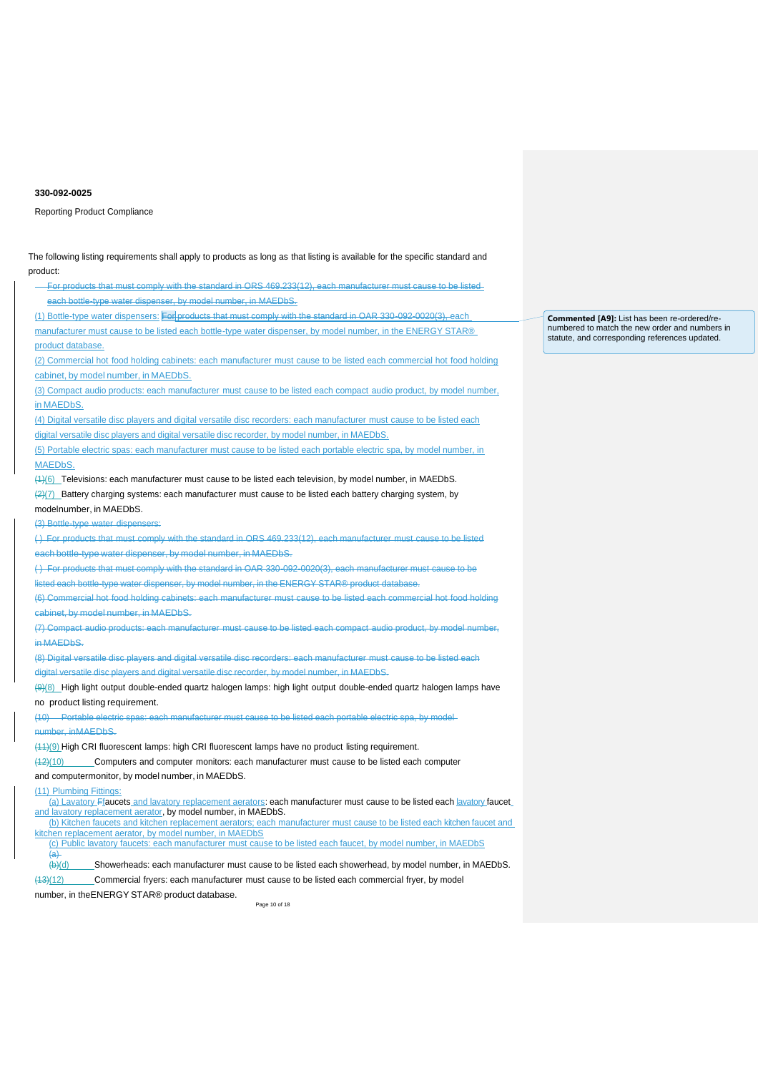Reporting Product Compliance

Page 10 of 18 product: For products that must comply with the standard in ORS 469.233(12), each manufacturer must cause to be listed each bottle-type water dispenser, by model number, in MAEDbS. (1) Bottle-type water dispensers: For products that must comply with the standard in OAR 330-092-0020(3), each manufacturer must cause to be listed each bottle-type water dispenser, by model number, in the ENERGY STAR® product database. (2) Commercial hot food holding cabinets: each manufacturer must cause to be listed each commercial hot food holding cabinet, by model number, in MAEDbS. (3) Compact audio products: each manufacturer must cause to be listed each compact audio product, by model number, in MAEDbS. (4) Digital versatile disc players and digital versatile disc recorders: each manufacturer must cause to be listed each digital versatile disc players and digital versatile disc recorder, by model number, in MAEDbS. (5) Portable electric spas: each manufacturer must cause to be listed each portable electric spa, by model number, in MAEDbS. (1)(6) Televisions: each manufacturer must cause to be listed each television, by model number, in MAEDbS.  $(2)(7)$  Battery charging systems: each manufacturer must cause to be listed each battery charging system, by modelnumber, in MAEDbS. (3) Bottle-type water dispensers: ( ) For products that must comply with the standard in ORS 469.233(12), each manufacturer must cause to be listed each bottle-type water dispenser, by model number, in MAEDbS. ( ) For products that must comply with the standard in OAR 330-092-0020(3), each manufacturer must cause to be listed each bottle-type water dispenser, by model number, in the ENERGY STAR® product database. (6) Commercial hot food holding cabinets: each manufacturer must cause to be listed each commercial hot food holding cabinet, by model number, in MAEDbS. (7) Compact audio products: each manufacturer must cause to be listed each compact audio product, by model number, in MAEDbS. (8) Digital versatile disc players and digital versatile disc recorders: each manufacturer must cause to be listed each rsatile disc players and digital versatile disc recorder, by model number, in MAEDbS. (9)(8) High light output double-ended quartz halogen lamps: high light output double-ended quartz halogen lamps have no product listing requirement. (10) Portable electric spas: each manufacturer must cause to be listed each portable electric spa, by model number, inMAEDbS. (11)(9) High CRI fluorescent lamps: high CRI fluorescent lamps have no product listing requirement. (12)(10) Computers and computer monitors: each manufacturer must cause to be listed each computer and computermonitor, by model number, in MAEDbS. (11) Plumbing Fittings: (a) Lavatory Ffaucets and lavatory replacement aerators: each manufacturer must cause to be listed each lavatory faucet and lavatory replacement aerator, by model number, in MAEDbS. (b) Kitchen faucets and kitchen replacement aerators; each manufacturer must cause to be listed each kitchen faucet and kitchen replacement aerator, by model number, in MAEDbS (c) Public lavatory faucets: each manufacturer must cause to be listed each faucet, by model number, in MAEDbS  $\frac{(a)}{(b)(d)}$ Showerheads: each manufacturer must cause to be listed each showerhead, by model number, in MAEDbS. (13)(12) Commercial fryers: each manufacturer must cause to be listed each commercial fryer, by model number, in theENERGY STAR® product database.

The following listing requirements shall apply to products as long as that listing is available for the specific standard and

**Commented [A9]:** List has been re-ordered/renumbered to match the new order and numbers in statute, and corresponding references updated.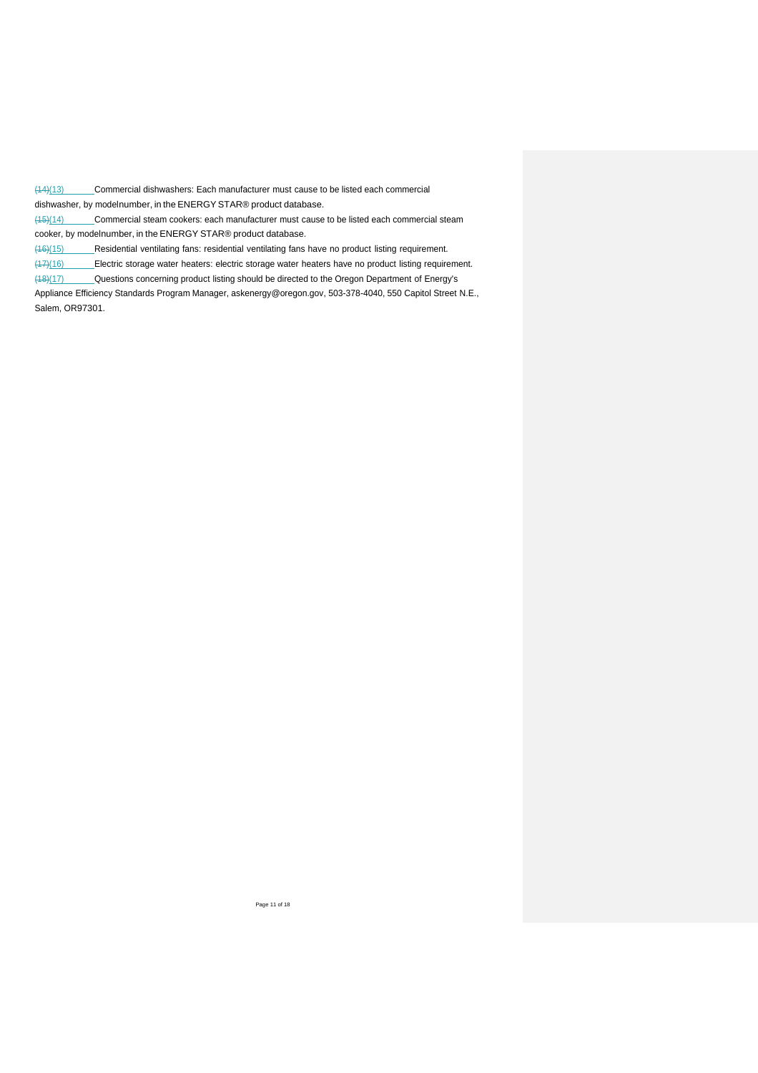(14)(13) Commercial dishwashers: Each manufacturer must cause to be listed each commercial dishwasher, by modelnumber, in the ENERGY STAR® product database.

(15)(14) Commercial steam cookers: each manufacturer must cause to be listed each commercial steam cooker, by modelnumber, in the ENERGY STAR® product database.

(16)(15) Residential ventilating fans: residential ventilating fans have no product listing requirement.

(17)(16) Electric storage water heaters: electric storage water heaters have no product listing requirement.

(18)(17) Questions concerning product listing should be directed to the Oregon Department of Energy's

Appliance Efficiency Standards Program Manager, [askenergy@oregon.gov,](mailto:askenergy@oregon.gov) 503-378-4040, 550 Capitol Street N.E., Salem, OR97301.

Page 11 of 18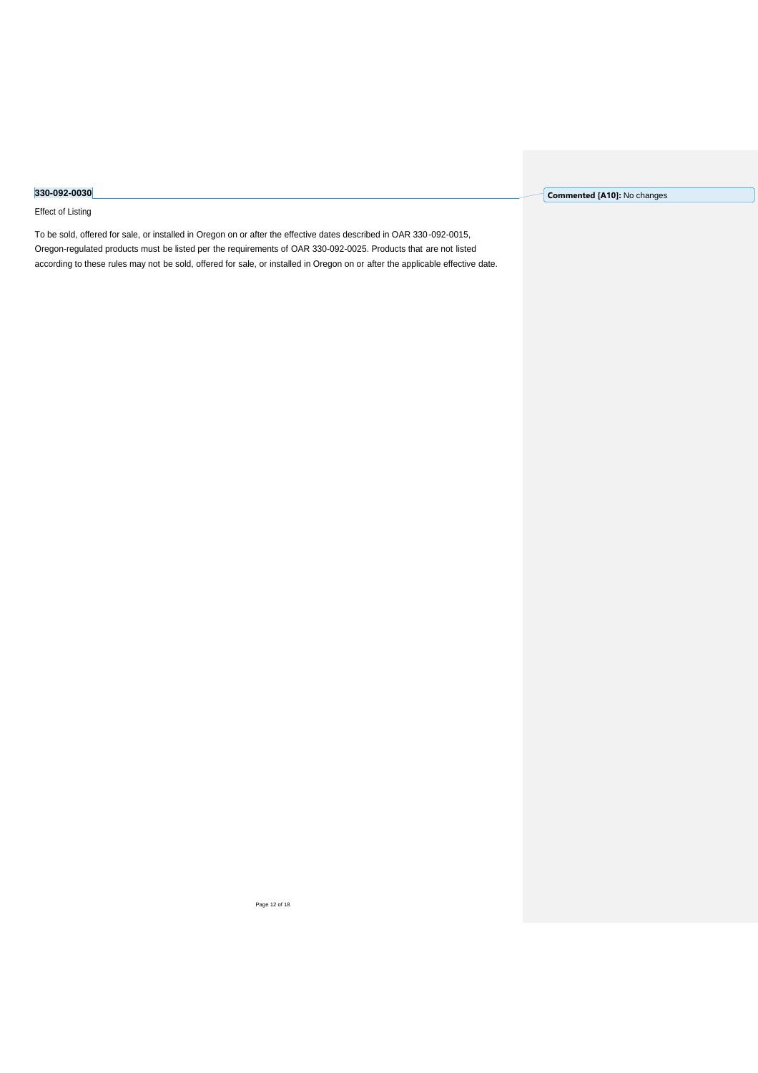## Effect of Listing

To be sold, offered for sale, or installed in Oregon on or after the effective dates described in OAR 330-092-0015, Oregon-regulated products must be listed per the requirements of OAR 330-092-0025. Products that are not listed according to these rules may not be sold, offered for sale, or installed in Oregon on or after the applicable effective date. **Commented [A10]:** No changes

Page 12 of 18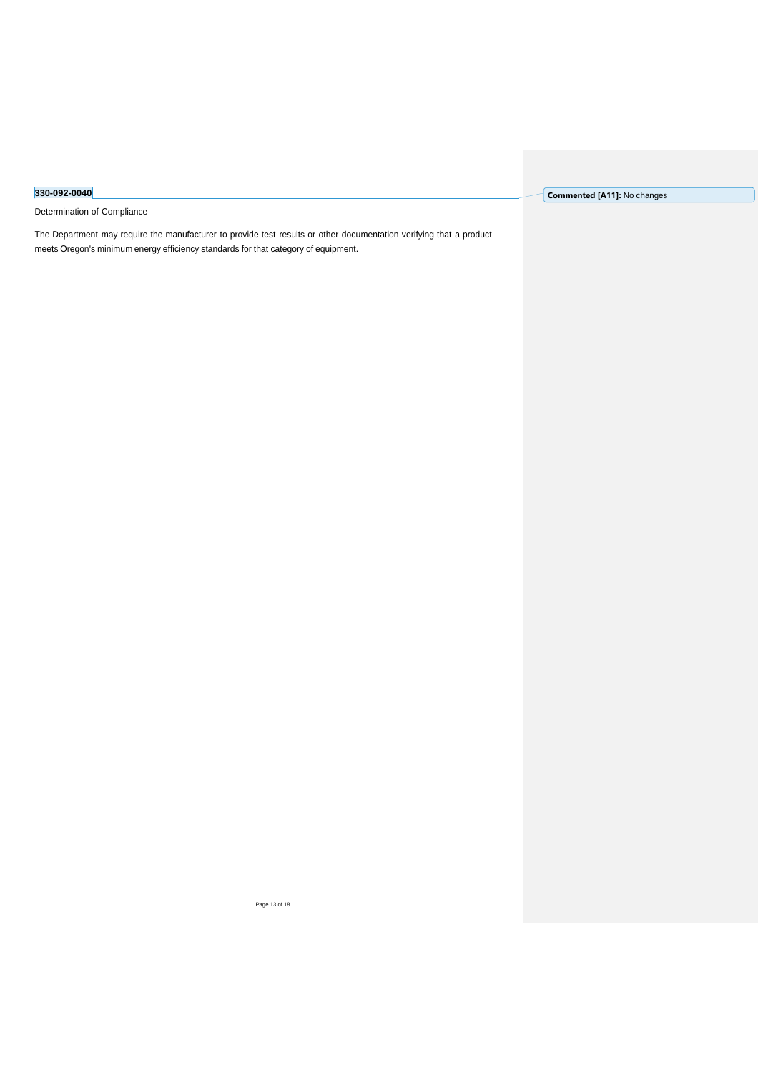Determination of Compliance

The Department may require the manufacturer to provide test results or other documentation verifying that a product meets Oregon's minimum energy efficiency standards for that category of equipment.

**Commented [A11]:** No changes

Page 13 of 18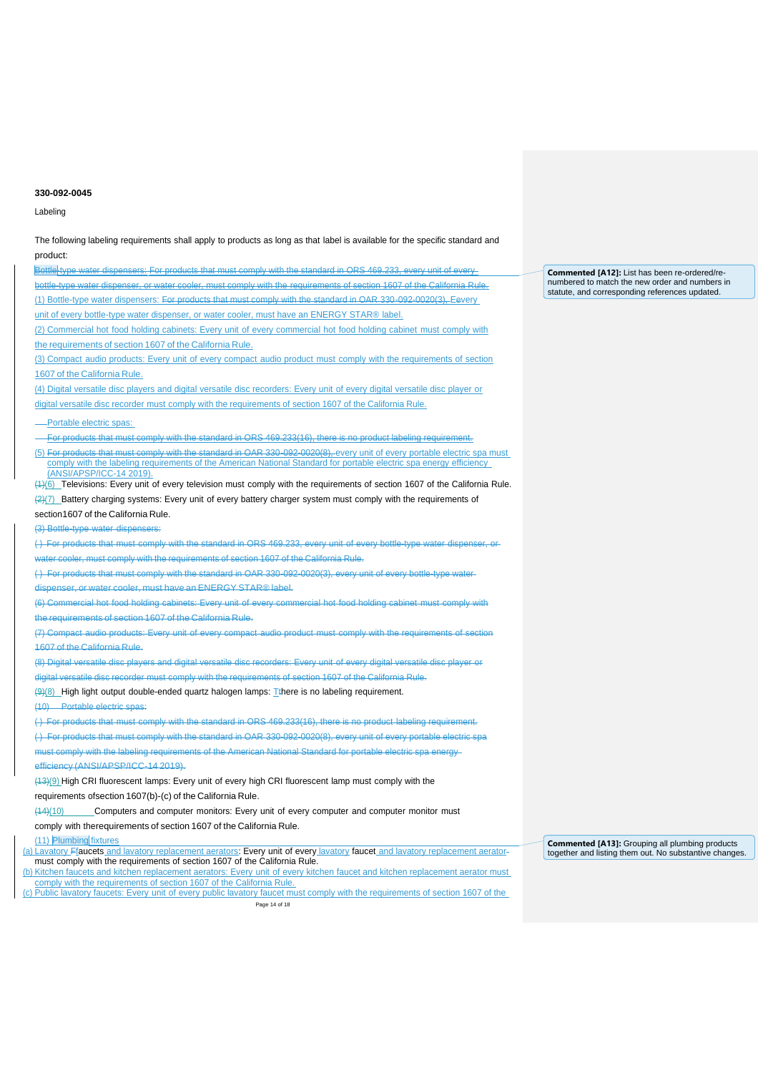Labeling

The following labeling requirements shall apply to products as long as that label is available for the specific standard and product: Bottle-type water dispensers: For products that must comply with the standard in ORS 469.233, every unit of every bottle-type water dispenser, or water cooler, must comply with the requirements of section 1607 of the California Rule. (1) Bottle-type water dispensers: For products that must comply with the standard in OAR 330-092-0020(3), Eevery unit of every bottle-type water dispenser, or water cooler, must have an ENERGY STAR® label. (2) Commercial hot food holding cabinets: Every unit of every commercial hot food holding cabinet must comply with the requirements of section 1607 of the California Rule. (3) Compact audio products: Every unit of every compact audio product must comply with the requirements of section 1607 of the California Rule. (4) Digital versatile disc players and digital versatile disc recorders: Every unit of every digital versatile disc player or digital versatile disc recorder must comply with the requirements of section 1607 of the California Rule. Portable electric spas: For products that must comply with the standard in ORS 469.233(16), there is no product labeling requirement. (5) For products that must comply with the standard in OAR 330-092-0020(8), every unit of every portable electric spa must comply with the labeling requirements of the American National Standard for portable electric spa energy efficiency (ANSI/APSP/ICC-14 2019).  $(4)(6)$  Televisions: Every unit of every television must comply with the requirements of section 1607 of the California Rule. (2)(7) Battery charging systems: Every unit of every battery charger system must comply with the requirements of section1607 of the California Rule. (3) Bottle-type water dispensers: () For products that must comply with the standard in ORS 469.233, every unit of every bottle-type water cooler, must comply with the requirements of section 1607 of the California Rule. ( ) For products that must comply with the standard in OAR 330-092-0020(3), every unit of every bottle-type water dispenser, or water cooler, must have an ENERGY STAR® label. (6) Commercial hot food holding cabinets: Every unit of every commercial hot food holding cabinet must comply with the requirements of section 1607 of the California Rule. (7) Compact audio products: Every unit of every compact audio product must comply with the requirements of section 1607 of the California Rule. (8) Digital versatile disc players and digital versatile disc recorders: Every unit of every digital versatile disc player or ersatile disc recorder must comply with the requirements of section 1607 of the California Rule. (9)(8) High light output double-ended quartz halogen lamps: Tthere is no labeling requirement. (10) Portable electric spas: ( ) For products that must comply with the standard in ORS 469.233(16), there is no product labeling requirement. ( ) For products that must comply with the standard in OAR 330-092-0020(8), every unit of every portable electric spa must comply with the labeling requirements of the American National Standard for portable electric spa energy efficiency (ANSI/APSP/ICC-14 2019). (13)(9) High CRI fluorescent lamps: Every unit of every high CRI fluorescent lamp must comply with the requirements ofsection 1607(b)-(c) of the California Rule. (14)(10) Computers and computer monitors: Every unit of every computer and computer monitor must comply with therequirements of section 1607 of the California Rule. (11) Plumbing fixtures (a) Lavatory Ffaucets and lavatory replacement aerators: Every unit of every lavatory faucet and lavatory replacement aeratormust comply with the requirements of section 1607 of the California Rule. (b) Kitchen faucets and kitchen replacement aerators: Every unit of every kitchen faucet and kitchen replacement aerator must comply with the requirements of section 1607 of the California Rule.

**Commented [A12]:** List has been re-ordered/renumbered to match the new order and numbers in statute, and corresponding references updated.

**Commented [A13]:** Grouping all plumbing products together and listing them out. No substantive changes.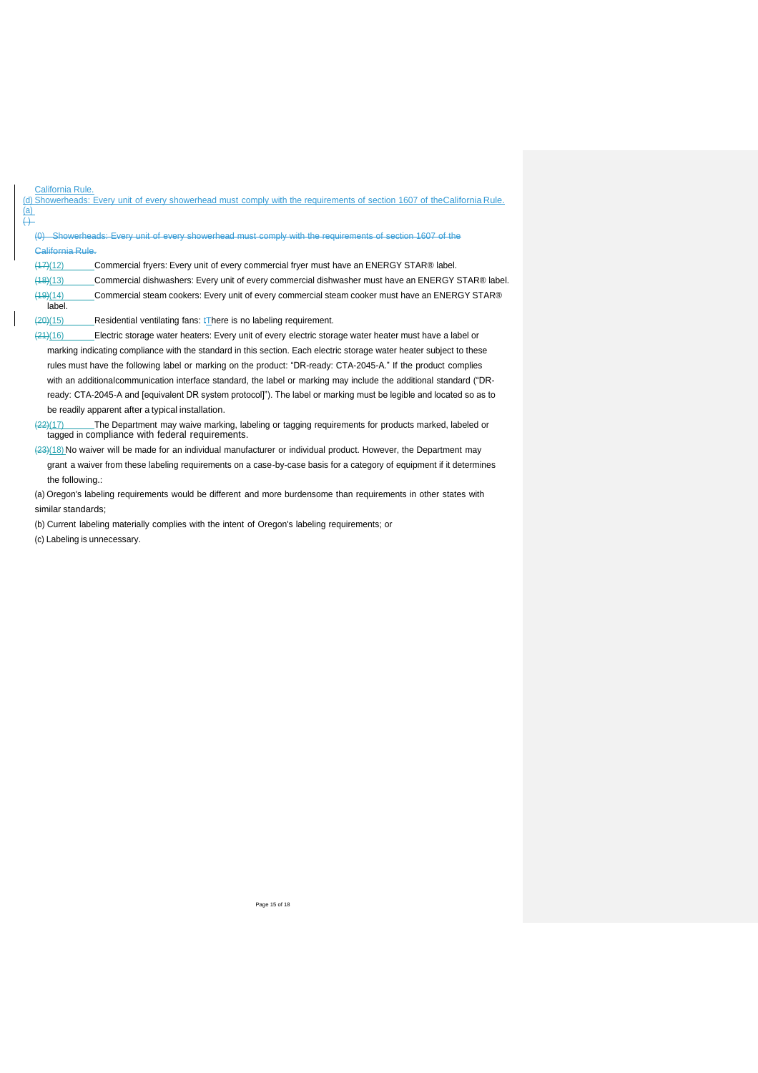|                              | California Rule.                                                                                                                                                  |
|------------------------------|-------------------------------------------------------------------------------------------------------------------------------------------------------------------|
|                              | (d) Showerheads: Every unit of every showerhead must comply with the requirements of section 1607 of theCalifornia Rule.                                          |
| <u>(a)</u><br><del>( )</del> |                                                                                                                                                                   |
|                              | Showerheads: Every unit of every showerhead must comply with the requirements of section 1607 of the                                                              |
|                              | <b>California Rule.</b>                                                                                                                                           |
|                              | Commercial fryers: Every unit of every commercial fryer must have an ENERGY STAR® label.<br>(17)(12)                                                              |
|                              | (18)(13)<br>Commercial dishwashers: Every unit of every commercial dishwasher must have an ENERGY STAR® label.                                                    |
|                              | Commercial steam cookers: Every unit of every commercial steam cooker must have an ENERGY STAR®<br>(19)(14)                                                       |
|                              | label.                                                                                                                                                            |
|                              | (20)(15)<br>Residential ventilating fans: <i>There</i> is no labeling requirement.                                                                                |
|                              | (24)(16)<br>Electric storage water heaters: Every unit of every electric storage water heater must have a label or                                                |
|                              | marking indicating compliance with the standard in this section. Each electric storage water heater subject to these                                              |
|                              | rules must have the following label or marking on the product: "DR-ready: CTA-2045-A." If the product complies                                                    |
|                              | with an additional communication interface standard, the label or marking may include the additional standard ("DR-                                               |
|                              | ready: CTA-2045-A and [equivalent DR system protocol]"). The label or marking must be legible and located so as to                                                |
|                              | be readily apparent after a typical installation.                                                                                                                 |
|                              | The Department may waive marking, labeling or tagging requirements for products marked, labeled or<br>(22)(17)<br>tagged in compliance with federal requirements. |
|                              | $(23)(18)$ No waiver will be made for an individual manufacturer or individual product. However, the Department may                                               |
|                              | grant a waiver from these labeling requirements on a case-by-case basis for a category of equipment if it determines                                              |
|                              | the following.:                                                                                                                                                   |

(a) Oregon's labeling requirements would be different and more burdensome than requirements in other states with similar standards;

(b) Current labeling materially complies with the intent of Oregon's labeling requirements; or

(c) Labeling is unnecessary.

 $\overline{\phantom{a}}$